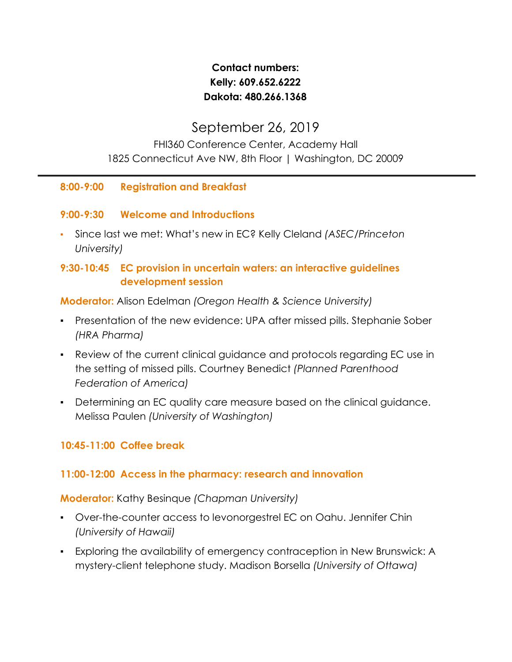# **Contact numbers: Kelly: 609.652.6222 Dakota: 480.266.1368**

# September 26, 2019

## FHI360 Conference Center, Academy Hall 1825 Connecticut Ave NW, 8th Floor | Washington, DC 20009

#### **8:00-9:00 Registration and Breakfast**

#### **9:00-9:30 Welcome and Introductions**

▪ Since last we met: What's new in EC? Kelly Cleland *(ASEC/Princeton University)*

## **9:30-10:45 EC provision in uncertain waters: an interactive guidelines development session**

**Moderator:** Alison Edelman *(Oregon Health & Science University)*

- Presentation of the new evidence: UPA after missed pills. Stephanie Sober *(HRA Pharma)*
- *▪* Review of the current clinical guidance and protocols regarding EC use in the setting of missed pills. Courtney Benedict *(Planned Parenthood Federation of America)*
- Determining an EC quality care measure based on the clinical guidance. Melissa Paulen *(University of Washington)*

## **10:45-11:00 Coffee break**

## **11:00-12:00 Access in the pharmacy: research and innovation**

#### **Moderator:** Kathy Besinque *(Chapman University)*

- Over-the-counter access to levonorgestrel EC on Oahu. Jennifer Chin *(University of Hawaii)*
- Exploring the availability of emergency contraception in New Brunswick: A mystery-client telephone study. Madison Borsella *(University of Ottawa)*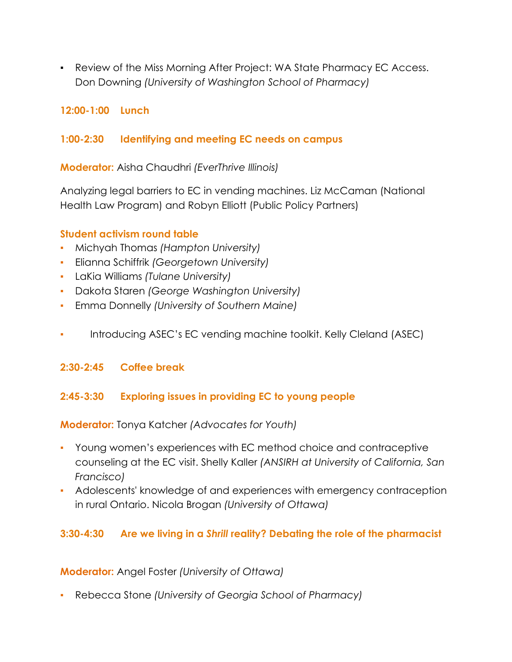▪ Review of the Miss Morning After Project: WA State Pharmacy EC Access. Don Downing *(University of Washington School of Pharmacy)*

## **12:00-1:00 Lunch**

#### **1:00-2:30 Identifying and meeting EC needs on campus**

**Moderator:** Aisha Chaudhri *(EverThrive Illinois)*

Analyzing legal barriers to EC in vending machines. Liz McCaman (National Health Law Program) and Robyn Elliott (Public Policy Partners)

#### **Student activism round table**

- **▪** Michyah Thomas *(Hampton University)*
- Elianna Schiffrik *(Georgetown University)*
- LaKia Williams *(Tulane University)*
- Dakota Staren *(George Washington University)*
- Emma Donnelly *(University of Southern Maine)*
- Introducing ASEC's EC vending machine toolkit. Kelly Cleland (ASEC)

## **2:30-2:45 Coffee break**

## **2:45-3:30 Exploring issues in providing EC to young people**

**Moderator:** Tonya Katcher *(Advocates for Youth)*

- Young women's experiences with EC method choice and contraceptive counseling at the EC visit. Shelly Kaller *(ANSIRH at University of California, San Francisco)*
- Adolescents' knowledge of and experiences with emergency contraception in rural Ontario. Nicola Brogan *(University of Ottawa)*

## **3:30-4:30 Are we living in a** *Shrill* **reality? Debating the role of the pharmacist**

**Moderator:** Angel Foster *(University of Ottawa)*

▪ Rebecca Stone *(University of Georgia School of Pharmacy)*